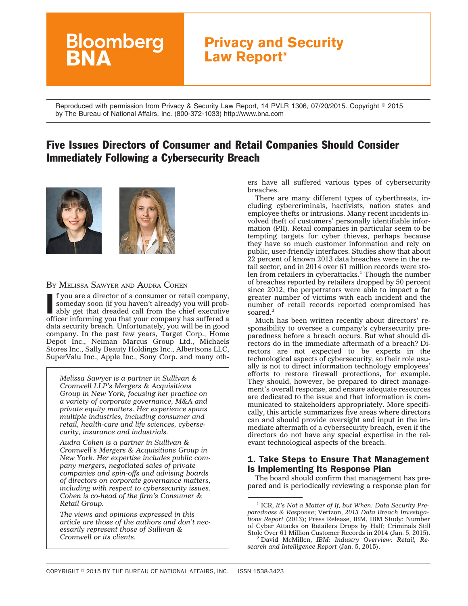# **Bloomberg Privacy and Security Law Report®**

Reproduced with permission from Privacy & Security Law Report, 14 PVLR 1306, 07/20/2015. Copyright © 2015 by The Bureau of National Affairs, Inc. (800-372-1033) http://www.bna.com

# Five Issues Directors of Consumer and Retail Companies Should Consider Immediately Following a Cybersecurity Breach



#### BY MELISSA SAWYER AND AUDRA COHEN

If you are a director of a consumer or retail company, someday soon (if you haven't already) you will probably get that dreaded call from the chief executive officer informing you that your company has suffered a f you are a director of a consumer or retail company, someday soon (if you haven't already) you will probably get that dreaded call from the chief executive data security breach. Unfortunately, you will be in good company. In the past few years, Target Corp., Home Depot Inc., Neiman Marcus Group Ltd., Michaels Stores Inc., Sally Beauty Holdings Inc., Albertsons LLC, SuperValu Inc., Apple Inc., Sony Corp. and many oth-

*Melissa Sawyer is a partner in Sullivan & Cromwell LLP's Mergers & Acquisitions Group in New York, focusing her practice on a variety of corporate governance, M&A and private equity matters. Her experience spans multiple industries, including consumer and retail, health-care and life sciences, cybersecurity, insurance and industrials.*

*Audra Cohen is a partner in Sullivan & Cromwell's Mergers & Acquisitions Group in New York. Her expertise includes public company mergers, negotiated sales of private companies and spin-offs and advising boards of directors on corporate governance matters, including with respect to cybersecurity issues. Cohen is co-head of the firm's Consumer & Retail Group.*

*The views and opinions expressed in this article are those of the authors and don't necessarily represent those of Sullivan & Cromwell or its clients.*

ers have all suffered various types of cybersecurity breaches.

There are many different types of cyberthreats, including cybercriminals, hactivists, nation states and employee thefts or intrusions. Many recent incidents involved theft of customers' personally identifiable information (PII). Retail companies in particular seem to be tempting targets for cyber thieves, perhaps because they have so much customer information and rely on public, user-friendly interfaces. Studies show that about 22 percent of known 2013 data breaches were in the retail sector, and in 2014 over 61 million records were stolen from retailers in cyberattacks.<sup>1</sup> Though the number of breaches reported by retailers dropped by 50 percent since 2012, the perpetrators were able to impact a far greater number of victims with each incident and the number of retail records reported compromised has soared.<sup>2</sup>

Much has been written recently about directors' responsibility to oversee a company's cybersecurity preparedness before a breach occurs. But what should directors do in the immediate aftermath of a breach? Directors are not expected to be experts in the technological aspects of cybersecurity, so their role usually is not to direct information technology employees' efforts to restore firewall protections, for example. They should, however, be prepared to direct management's overall response, and ensure adequate resources are dedicated to the issue and that information is communicated to stakeholders appropriately. More specifically, this article summarizes five areas where directors can and should provide oversight and input in the immediate aftermath of a cybersecurity breach, even if the directors do not have any special expertise in the relevant technological aspects of the breach.

# 1. Take Steps to Ensure That Management Is Implementing Its Response Plan

The board should confirm that management has prepared and is periodically reviewing a response plan for

<sup>1</sup> ICR, *It's Not a Matter of If, but When: Data Security Preparedness & Response*; Verizon, *2013 Data Breach Investigations Report* (2013); Press Release, IBM, IBM Study: Number of Cyber Attacks on Retailers Drops by Half; Criminals Still

<sup>&</sup>lt;sup>2</sup> David McMillen, IBM: Industry Overview: Retail, Re*search and Intelligence Report* (Jan. 5, 2015).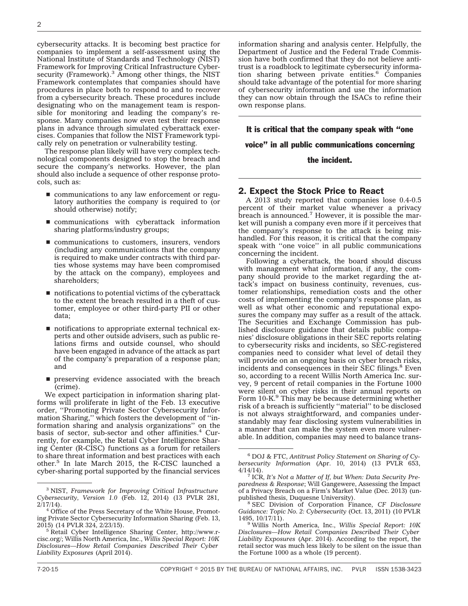cybersecurity attacks. It is becoming best practice for companies to implement a self-assessment using the National Institute of Standards and Technology (NIST) Framework for Improving Critical Infrastructure Cybersecurity (Framework).<sup>3</sup> Among other things, the NIST Framework contemplates that companies should have procedures in place both to respond to and to recover from a cybersecurity breach. These procedures include designating who on the management team is responsible for monitoring and leading the company's response. Many companies now even test their response plans in advance through simulated cyberattack exercises. Companies that follow the NIST Framework typically rely on penetration or vulnerability testing.

The response plan likely will have very complex technological components designed to stop the breach and secure the company's networks. However, the plan should also include a sequence of other response protocols, such as:

- $\blacksquare$  communications to any law enforcement or regulatory authorities the company is required to (or should otherwise) notify;
- $\blacksquare$  communications with cyberattack information sharing platforms/industry groups;
- $\blacksquare$  communications to customers, insurers, vendors (including any communications that the company is required to make under contracts with third parties whose systems may have been compromised by the attack on the company), employees and shareholders;
- $\blacksquare$  notifications to potential victims of the cyberattack to the extent the breach resulted in a theft of customer, employee or other third-party PII or other data;
- notifications to appropriate external technical experts and other outside advisers, such as public relations firms and outside counsel, who should have been engaged in advance of the attack as part of the company's preparation of a response plan; and
- $\blacksquare$  preserving evidence associated with the breach (crime).

We expect participation in information sharing platforms will proliferate in light of the Feb. 13 executive order, ''Promoting Private Sector Cybersecurity Information Sharing,'' which fosters the development of ''information sharing and analysis organizations'' on the basis of sector, sub-sector and other affinities. $4$  Currently, for example, the Retail Cyber Intelligence Sharing Center (R-CISC) functions as a forum for retailers to share threat information and best practices with each other.<sup>5</sup> In late March 2015, the R-CISC launched a cyber-sharing portal supported by the financial services information sharing and analysis center. Helpfully, the Department of Justice and the Federal Trade Commission have both confirmed that they do not believe antitrust is a roadblock to legitimate cybersecurity information sharing between private entities.<sup>6</sup> Companies should take advantage of the potential for more sharing of cybersecurity information and use the information they can now obtain through the ISACs to refine their own response plans.

It is critical that the company speak with ''one

voice'' in all public communications concerning

#### the incident.

# 2. Expect the Stock Price to React

A 2013 study reported that companies lose 0.4-0.5 percent of their market value whenever a privacy breach is announced.7 However, it is possible the market will punish a company even more if it perceives that the company's response to the attack is being mishandled. For this reason, it is critical that the company speak with ''one voice'' in all public communications concerning the incident.

Following a cyberattack, the board should discuss with management what information, if any, the company should provide to the market regarding the attack's impact on business continuity, revenues, customer relationships, remediation costs and the other costs of implementing the company's response plan, as well as what other economic and reputational exposures the company may suffer as a result of the attack. The Securities and Exchange Commission has published disclosure guidance that details public companies' disclosure obligations in their SEC reports relating to cybersecurity risks and incidents, so SEC-registered companies need to consider what level of detail they will provide on an ongoing basis on cyber breach risks, incidents and consequences in their SEC filings.<sup>8</sup> Even so, according to a recent Willis North America Inc. survey, 9 percent of retail companies in the Fortune 1000 were silent on cyber risks in their annual reports on Form 10-K.<sup>9</sup> This may be because determining whether risk of a breach is sufficiently ''material'' to be disclosed is not always straightforward, and companies understandably may fear disclosing system vulnerabilities in a manner that can make the system even more vulnerable. In addition, companies may need to balance trans-

<sup>3</sup> NIST, *Framework for Improving Critical Infrastructure Cybersecurity, Version 1.0* (Feb. 12, 2014) (13 PVLR 281, 2/17/14).

<sup>&</sup>lt;sup>4</sup> Office of the Press Secretary of the White House, Promoting Private Sector Cybersecurity Information Sharing (Feb. 13, 2015) (14 PVLR 324, 2/23/15).

<sup>&</sup>lt;sup>5</sup> Retail Cyber Intelligence Sharing Center, [http://www.r](http://www.r-cisc.org/)[cisc.org/;](http://www.r-cisc.org/) Willis North America, Inc., *Willis Special Report: 10K Disclosures—How Retail Companies Described Their Cyber Liability Exposures* (April 2014).

<sup>6</sup> DOJ & FTC, *Antitrust Policy Statement on Sharing of Cybersecurity Information* (Apr. 10, 2014) (13 PVLR 653,

<sup>&</sup>lt;sup>7</sup> ICR, It's Not a Matter of If, but When: Data Security Pre*paredness & Response*; Will Gangewere, Assessing the Impact of a Privacy Breach on a Firm's Market Value (Dec. 2013) (un-

<sup>&</sup>lt;sup>8</sup> SEC Division of Corporation Finance, *CF Disclosure Guidance: Topic No. 2: Cybersecurity* (Oct. 13, 2011) (10 PVLR

<sup>&</sup>lt;sup>9</sup> Willis North America, Inc., *Willis Special Report: 10K Disclosures—How Retail Companies Described Their Cyber Liability Exposures* (Apr. 2014). According to the report, the retail sector was much less likely to be silent on the issue than the Fortune 1000 as a whole (19 percent).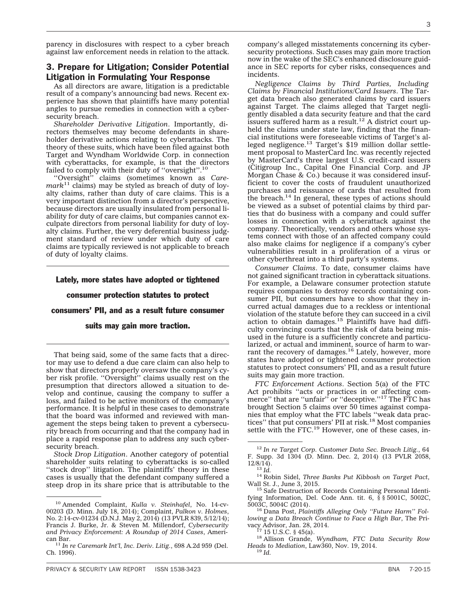parency in disclosures with respect to a cyber breach against law enforcement needs in relation to the attack.

#### 3. Prepare for Litigation; Consider Potential Litigation in Formulating Your Response

As all directors are aware, litigation is a predictable result of a company's announcing bad news. Recent experience has shown that plaintiffs have many potential angles to pursue remedies in connection with a cybersecurity breach.

*Shareholder Derivative Litigation*. Importantly, directors themselves may become defendants in shareholder derivative actions relating to cyberattacks. The theory of these suits, which have been filed against both Target and Wyndham Worldwide Corp. in connection with cyberattacks, for example, is that the directors failed to comply with their duty of "oversight".<sup>10</sup>

''Oversight'' claims (sometimes known as *Care* $mark<sup>11</sup>$  claims) may be styled as breach of duty of loyalty claims, rather than duty of care claims. This is a very important distinction from a director's perspective, because directors are usually insulated from personal liability for duty of care claims, but companies cannot exculpate directors from personal liability for duty of loyalty claims. Further, the very deferential business judgment standard of review under which duty of care claims are typically reviewed is not applicable to breach of duty of loyalty claims.

#### Lately, more states have adopted or tightened

#### consumer protection statutes to protect

consumers' PII, and as a result future consumer

#### suits may gain more traction.

That being said, some of the same facts that a director may use to defend a due care claim can also help to show that directors properly oversaw the company's cyber risk profile. ''Oversight'' claims usually rest on the presumption that directors allowed a situation to develop and continue, causing the company to suffer a loss, and failed to be active monitors of the company's performance. It is helpful in these cases to demonstrate that the board was informed and reviewed with management the steps being taken to prevent a cybersecurity breach from occurring and that the company had in place a rapid response plan to address any such cybersecurity breach.

*Stock Drop Litigation*. Another category of potential shareholder suits relating to cyberattacks is so-called ''stock drop'' litigation. The plaintiffs' theory in these cases is usually that the defendant company suffered a steep drop in its share price that is attributable to the

*Negligence Claims by Third Parties, Including Claims by Financial Institutions/Card Issuers*. The Target data breach also generated claims by card issuers against Target. The claims alleged that Target negligently disabled a data security feature and that the card<br>issuers suffered harm as a result.<sup>12</sup> A district court upheld the claims under state law, finding that the financial institutions were foreseeable victims of Target's alleged negligence.<sup>13</sup> Target's \$19 million dollar settlement proposal to MasterCard Inc. was recently rejected by MasterCard's three largest U.S. credit-card issuers (Citigroup Inc., Capital One Financial Corp. and JP Morgan Chase & Co.) because it was considered insufficient to cover the costs of fraudulent unauthorized purchases and reissuance of cards that resulted from the breach. $14$  In general, these types of actions should be viewed as a subset of potential claims by third parties that do business with a company and could suffer losses in connection with a cyberattack against the company. Theoretically, vendors and others whose systems connect with those of an affected company could also make claims for negligence if a company's cyber vulnerabilities result in a proliferation of a virus or other cyberthreat into a third party's systems.

*Consumer Claims*. To date, consumer claims have not gained significant traction in cyberattack situations. For example, a Delaware consumer protection statute requires companies to destroy records containing consumer PII, but consumers have to show that they incurred actual damages due to a reckless or intentional violation of the statute before they can succeed in a civil action to obtain damages.<sup>15</sup> Plaintiffs have had difficulty convincing courts that the risk of data being misused in the future is a sufficiently concrete and particularized, or actual and imminent, source of harm to warrant the recovery of damages.<sup>16</sup> Lately, however, more states have adopted or tightened consumer protection statutes to protect consumers' PII, and as a result future suits may gain more traction.

*FTC Enforcement Actions*. Section 5(a) of the FTC Act prohibits ''acts or practices in or affecting com-merce'' that are ''unfair'' or ''deceptive.''17 The FTC has brought Section 5 claims over 50 times against companies that employ what the FTC labels ''weak data prac-<br>tices'' that put consumers' PII at risk.<sup>18</sup> Most companies settle with the FTC.<sup>19</sup> However, one of these cases, in-

<sup>10</sup> Amended Complaint, *Kulla v. Steinhafel*, No. 14-cv-00203 (D. Minn. July 18, 2014); Complaint, *Palkon v. Holmes*, No. 2:14-cv-01234 (D.N.J. May 2, 2014) (13 PVLR 839, 5/12/14); Francis J. Burke, Jr. & Steven M. Millendorf, *Cybersecurity and Privacy Enforcement: A Roundup of 2014 Cases*, Ameri-

<sup>&</sup>lt;sup>11</sup> In re Caremark Int'l, Inc. Deriv. Litig., 698 A.2d 959 (Del. Ch. 1996).

<sup>12</sup> *In re Target Corp. Customer Data Sec. Breach Litig.*, 64 F. Supp. 3d 1304 (D. Minn. Dec. 2, 2014) (13 PVLR 2058, 12/8/14).

<sup>&</sup>lt;sup>14</sup> <sup>13</sup> *Id.* <sup>14</sup> Robin Sidel, *Three Banks Put Kibbosh on Target Pact*, Wall St. J., June 3, 2015.

<sup>&</sup>lt;sup>15</sup> Safe Destruction of Records Containing Personal Identifying Information, Del. Code Ann. tit.  $6, \, \bar{\$} \, \$ 5001C, 5002C, 5003C, 5004C$  (2014).

<sup>&</sup>lt;sup>16</sup> Dana Post, *Plaintiffs Alleging Only "Future Harm" Following a Data Breach Continue to Face a High Bar*, The Pri-

<sup>&</sup>lt;sup>18</sup> Allison Grande, *Wyndham, FTC Data Security Row Heads to Mediation*, Law360, Nov. 19, 2014. <sup>19</sup> *Id.*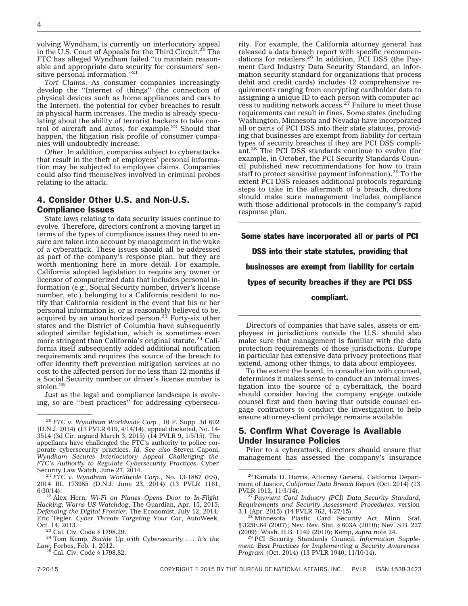volving Wyndham, is currently on interlocutory appeal in the U.S. Court of Appeals for the Third Circuit.20 The FTC has alleged Wyndham failed ''to maintain reasonable and appropriate data security for consumers' sensitive personal information."<sup>21</sup>

*Tort Claims*. As consumer companies increasingly develop the ''Internet of things'' (the connection of physical devices such as home appliances and cars to the Internet), the potential for cyber breaches to result in physical harm increases. The media is already speculating about the ability of terrorist hackers to take control of aircraft and autos, for example.<sup>22</sup> Should that happen, the litigation risk profile of consumer companies will undoubtedly increase.

*Other*. In addition, companies subject to cyberattacks that result in the theft of employees' personal information may be subjected to employee claims. Companies could also find themselves involved in criminal probes relating to the attack.

#### 4. Consider Other U.S. and Non-U.S. Compliance Issues

State laws relating to data security issues continue to evolve. Therefore, directors confront a moving target in terms of the types of compliance issues they need to ensure are taken into account by management in the wake of a cyberattack. These issues should all be addressed as part of the company's response plan, but they are worth mentioning here in more detail. For example, California adopted legislation to require any owner or licensor of computerized data that includes personal information (e.g., Social Security number, driver's license number, etc.) belonging to a California resident to notify that California resident in the event that his or her personal information is, or is reasonably believed to be, acquired by an unauthorized person. $23$  Forty-six other states and the District of Columbia have subsequently adopted similar legislation, which is sometimes even more stringent than California's original statute.<sup>24</sup> California itself subsequently added additional notification requirements and requires the source of the breach to offer identity theft prevention mitigation services at no cost to the affected person for no less than 12 months if a Social Security number or driver's license number is stolen.<sup>25</sup>

Just as the legal and compliance landscape is evolving, so are ''best practices'' for addressing cybersecu-

rity. For example, the California attorney general has released a data breach report with specific recommendations for retailers.<sup>26</sup> In addition, PCI DSS (the Payment Card Industry Data Security Standard, an information security standard for organizations that process debit and credit cards) includes 12 comprehensive requirements ranging from encrypting cardholder data to assigning a unique ID to each person with computer access to auditing network  $\arccos$ <sup>27</sup> Failure to meet those requirements can result in fines. Some states (including Washington, Minnesota and Nevada) have incorporated all or parts of PCI DSS into their state statutes, providing that businesses are exempt from liability for certain types of security breaches if they are PCI DSS compliant.<sup>28</sup> The PCI DSS standards continue to evolve (for example, in October, the PCI Security Standards Council published new recommendations for how to train staff to protect sensitive payment information).<sup>29</sup> To the extent PCI DSS releases additional protocols regarding steps to take in the aftermath of a breach, directors should make sure management includes compliance with those additional protocols in the company's rapid response plan.

Some states have incorporated all or parts of PCI DSS into their state statutes, providing that businesses are exempt from liability for certain types of security breaches if they are PCI DSS compliant.

Directors of companies that have sales, assets or employees in jurisdictions outside the U.S. should also make sure that management is familiar with the data protection requirements of those jurisdictions. Europe in particular has extensive data privacy protections that extend, among other things, to data about employees.

To the extent the board, in consultation with counsel, determines it makes sense to conduct an internal investigation into the source of a cyberattack, the board should consider having the company engage outside counsel first and then having that outside counsel engage contractors to conduct the investigation to help ensure attorney-client privilege remains available.

# 5. Confirm What Coverage Is Available Under Insurance Policies

Prior to a cyberattack, directors should ensure that management has assessed the company's insurance

<sup>20</sup> *FTC v. Wyndham Worldwide Corp.*, 10 F. Supp. 3d 602 (D.N.J. 2014) (13 PVLR 619, 4/14/14), appeal docketed, No. 14- 3514 (3d Cir. argued March 3, 2015) (14 PVLR 9, 1/5/15). The appellants have challenged the FTC's authority to police corporate cybersecurity practices. *Id. See also* Steven Caponi, *Wyndham Secures Interlocutory Appeal Challenging the FTC's Authority to Regulate Cybersecurity Practices*, Cyber

<sup>&</sup>lt;sup>21</sup> FTC v. Wyndham Worldwide Corp., No. 13-1887 (ES), 2014 BL 173985 (D.N.J. June 23, 2014) (13 PVLR 1161,

<sup>&</sup>lt;sup>22</sup> Alex Hern, Wi-Fi on Planes Opens Door to In-Flight *Hacking, Warns US Watchdog*, The Guardian, Apr. 15, 2015; *Defending the Digital Frontier*, The Economist, July 12, 2014; Eric Tegler, *Cyber Threats Targeting Your Car*, AutoWeek,

<sup>&</sup>lt;sup>23</sup> Cal. Civ. Code § 1798.29.<br><sup>24</sup> Tom Kemp, *Buckle Up with Cybersecurity ... It's the Law*, Forbes, Feb. 1, 2012.

<sup>25</sup> Cal. Civ. Code § 1798.82.

<sup>26</sup> Kamala D. Harris, Attorney General, California Department of Justice, *California Data Breach Report* (Oct. 2014) (13

<sup>&</sup>lt;sup>27</sup> Payment Card Industry (PCI) Data Security Standard, *Requirements and Security Assessment Procedures*, version

<sup>&</sup>lt;sup>28</sup> Minnesota Plastic Card Security Act, Minn. Stat. § 325E.64 (2007); Nev. Rev. Stat. § 603A (2010); Nev. S.B. 227 (2009); Wash. H.B. 1149 (2010); Kemp, supra note 24.

<sup>&</sup>lt;sup>29</sup> PCI Security Standards Council, *Information Supplement: Best Practices for Implementing a Security Awareness Program* (Oct. 2014) (13 PVLR 1940, 11/10/14).